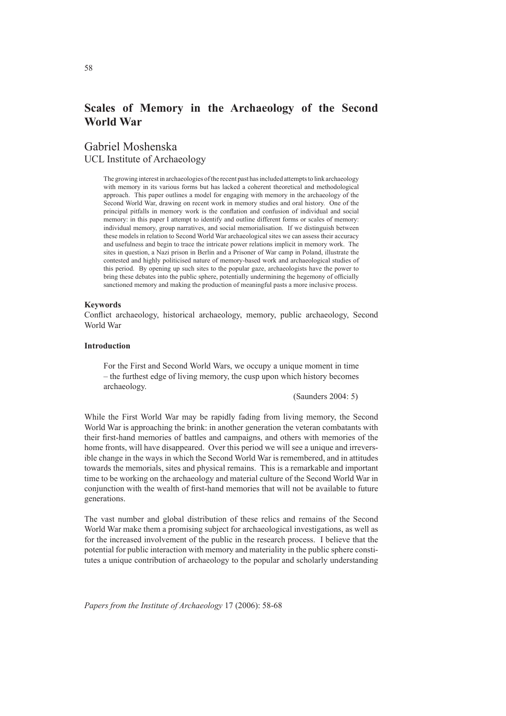# **Scales of Memory in the Archaeology of the Second World War**

Gabriel Moshenska UCL Institute of Archaeology

> The growing interest in archaeologies of the recent past has included attempts to link archaeology with memory in its various forms but has lacked a coherent theoretical and methodological approach. This paper outlines a model for engaging with memory in the archaeology of the Second World War, drawing on recent work in memory studies and oral history. One of the principal pitfalls in memory work is the conflation and confusion of individual and social memory: in this paper I attempt to identify and outline different forms or scales of memory: individual memory, group narratives, and social memorialisation. If we distinguish between these models in relation to Second World War archaeological sites we can assess their accuracy and usefulness and begin to trace the intricate power relations implicit in memory work. The sites in question, a Nazi prison in Berlin and a Prisoner of War camp in Poland, illustrate the contested and highly politicised nature of memory-based work and archaeological studies of this period. By opening up such sites to the popular gaze, archaeologists have the power to bring these debates into the public sphere, potentially undermining the hegemony of officially sanctioned memory and making the production of meaningful pasts a more inclusive process.

#### **Keywords**

Conflict archaeology, historical archaeology, memory, public archaeology, Second World War

## **Introduction**

For the First and Second World Wars, we occupy a unique moment in time – the furthest edge of living memory, the cusp upon which history becomes archaeology.

## (Saunders 2004: 5)

While the First World War may be rapidly fading from living memory, the Second World War is approaching the brink: in another generation the veteran combatants with their first-hand memories of battles and campaigns, and others with memories of the home fronts, will have disappeared. Over this period we will see a unique and irreversible change in the ways in which the Second World War is remembered, and in attitudes towards the memorials, sites and physical remains. This is a remarkable and important time to be working on the archaeology and material culture of the Second World War in conjunction with the wealth of first-hand memories that will not be available to future generations.

The vast number and global distribution of these relics and remains of the Second World War make them a promising subject for archaeological investigations, as well as for the increased involvement of the public in the research process. I believe that the potential for public interaction with memory and materiality in the public sphere constitutes a unique contribution of archaeology to the popular and scholarly understanding

*Papers from the Institute of Archaeology* 17 (2006): 58-68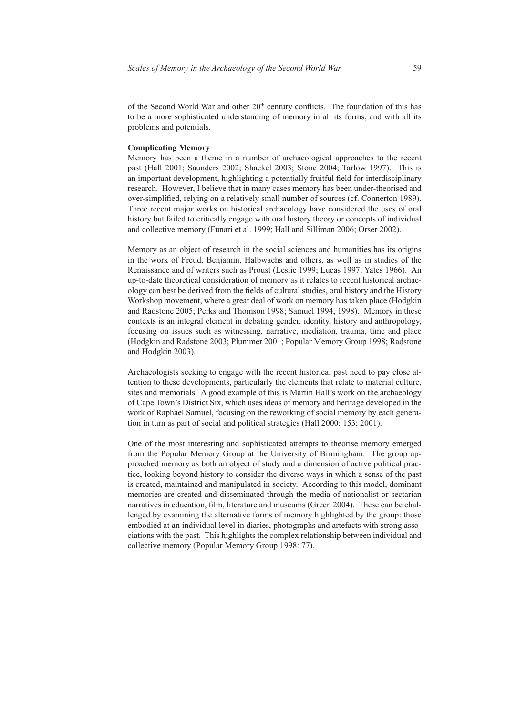of the Second World War and other 20<sup>th</sup> century conflicts. The foundation of this has to be a more sophisticated understanding of memory in all its forms, and with all its problems and potentials.

## **Complicating Memory**

Memory has been a theme in a number of archaeological approaches to the recent past (Hall 2001; Saunders 2002; Shackel 2003; Stone 2004; Tarlow 1997). This is an important development, highlighting a potentially fruitful field for interdisciplinary research. However, I believe that in many cases memory has been under-theorised and over-simplified, relying on a relatively small number of sources (cf. Connerton 1989). Three recent major works on historical archaeology have considered the uses of oral history but failed to critically engage with oral history theory or concepts of individual and collective memory (Funari et al. 1999; Hall and Silliman 2006; Orser 2002).

Memory as an object of research in the social sciences and humanities has its origins in the work of Freud, Benjamin, Halbwachs and others, as well as in studies of the Renaissance and of writers such as Proust (Leslie 1999; Lucas 1997; Yates 1966). An up-to-date theoretical consideration of memory as it relates to recent historical archaeology can best be derived from the fields of cultural studies, oral history and the History Workshop movement, where a great deal of work on memory has taken place (Hodgkin and Radstone 2005; Perks and Thomson 1998; Samuel 1994, 1998). Memory in these contexts is an integral element in debating gender, identity, history and anthropology, focusing on issues such as witnessing, narrative, mediation, trauma, time and place (Hodgkin and Radstone 2003; Plummer 2001; Popular Memory Group 1998; Radstone and Hodgkin 2003).

Archaeologists seeking to engage with the recent historical past need to pay close attention to these developments, particularly the elements that relate to material culture, sites and memorials. A good example of this is Martin Hall's work on the archaeology of Cape Town's District Six, which uses ideas of memory and heritage developed in the work of Raphael Samuel, focusing on the reworking of social memory by each generation in turn as part of social and political strategies (Hall 2000: 153; 2001).

One of the most interesting and sophisticated attempts to theorise memory emerged from the Popular Memory Group at the University of Birmingham. The group approached memory as both an object of study and a dimension of active political practice, looking beyond history to consider the diverse ways in which a sense of the past is created, maintained and manipulated in society. According to this model, dominant memories are created and disseminated through the media of nationalist or sectarian narratives in education, film, literature and museums (Green 2004). These can be challenged by examining the alternative forms of memory highlighted by the group: those embodied at an individual level in diaries, photographs and artefacts with strong associations with the past. This highlights the complex relationship between individual and collective memory (Popular Memory Group 1998: 77).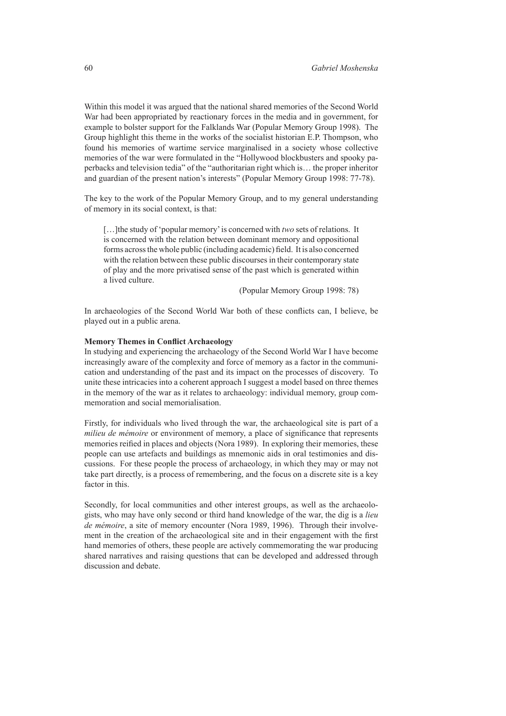Within this model it was argued that the national shared memories of the Second World War had been appropriated by reactionary forces in the media and in government, for example to bolster support for the Falklands War (Popular Memory Group 1998). The Group highlight this theme in the works of the socialist historian E.P. Thompson, who found his memories of wartime service marginalised in a society whose collective memories of the war were formulated in the "Hollywood blockbusters and spooky paperbacks and television tedia" of the "authoritarian right which is… the proper inheritor and guardian of the present nation's interests" (Popular Memory Group 1998: 77-78).

The key to the work of the Popular Memory Group, and to my general understanding of memory in its social context, is that:

[…]the study of 'popular memory' is concerned with *two* sets of relations. It is concerned with the relation between dominant memory and oppositional forms across the whole public (including academic) field. It is also concerned with the relation between these public discourses in their contemporary state of play and the more privatised sense of the past which is generated within a lived culture.

(Popular Memory Group 1998: 78)

In archaeologies of the Second World War both of these conflicts can, I believe, be played out in a public arena.

# **Memory Themes in Conflict Archaeology**

In studying and experiencing the archaeology of the Second World War I have become increasingly aware of the complexity and force of memory as a factor in the communication and understanding of the past and its impact on the processes of discovery. To unite these intricacies into a coherent approach I suggest a model based on three themes in the memory of the war as it relates to archaeology: individual memory, group commemoration and social memorialisation.

Firstly, for individuals who lived through the war, the archaeological site is part of a *milieu de mémoire* or environment of memory, a place of significance that represents memories reified in places and objects (Nora 1989). In exploring their memories, these people can use artefacts and buildings as mnemonic aids in oral testimonies and discussions. For these people the process of archaeology, in which they may or may not take part directly, is a process of remembering, and the focus on a discrete site is a key factor in this.

Secondly, for local communities and other interest groups, as well as the archaeologists, who may have only second or third hand knowledge of the war, the dig is a *lieu de mémoire*, a site of memory encounter (Nora 1989, 1996). Through their involvement in the creation of the archaeological site and in their engagement with the first hand memories of others, these people are actively commemorating the war producing shared narratives and raising questions that can be developed and addressed through discussion and debate.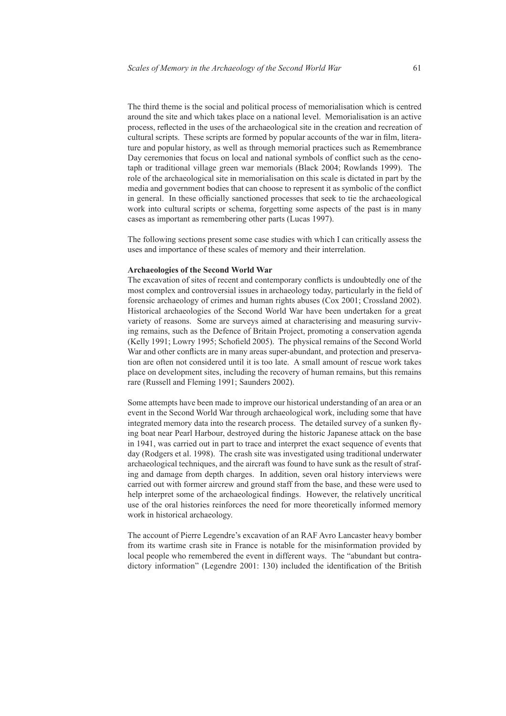The third theme is the social and political process of memorialisation which is centred around the site and which takes place on a national level. Memorialisation is an active process, reflected in the uses of the archaeological site in the creation and recreation of cultural scripts. These scripts are formed by popular accounts of the war in film, literature and popular history, as well as through memorial practices such as Remembrance Day ceremonies that focus on local and national symbols of conflict such as the cenotaph or traditional village green war memorials (Black 2004; Rowlands 1999). The role of the archaeological site in memorialisation on this scale is dictated in part by the media and government bodies that can choose to represent it as symbolic of the conflict in general. In these officially sanctioned processes that seek to tie the archaeological work into cultural scripts or schema, forgetting some aspects of the past is in many cases as important as remembering other parts (Lucas 1997).

The following sections present some case studies with which I can critically assess the uses and importance of these scales of memory and their interrelation.

# **Archaeologies of the Second World War**

The excavation of sites of recent and contemporary conflicts is undoubtedly one of the most complex and controversial issues in archaeology today, particularly in the field of forensic archaeology of crimes and human rights abuses (Cox 2001; Crossland 2002). Historical archaeologies of the Second World War have been undertaken for a great variety of reasons. Some are surveys aimed at characterising and measuring surviving remains, such as the Defence of Britain Project, promoting a conservation agenda (Kelly 1991; Lowry 1995; Schofield 2005). The physical remains of the Second World War and other conflicts are in many areas super-abundant, and protection and preservation are often not considered until it is too late. A small amount of rescue work takes place on development sites, including the recovery of human remains, but this remains rare (Russell and Fleming 1991; Saunders 2002).

Some attempts have been made to improve our historical understanding of an area or an event in the Second World War through archaeological work, including some that have integrated memory data into the research process. The detailed survey of a sunken flying boat near Pearl Harbour, destroyed during the historic Japanese attack on the base in 1941, was carried out in part to trace and interpret the exact sequence of events that day (Rodgers et al. 1998). The crash site was investigated using traditional underwater archaeological techniques, and the aircraft was found to have sunk as the result of strafing and damage from depth charges. In addition, seven oral history interviews were carried out with former aircrew and ground staff from the base, and these were used to help interpret some of the archaeological findings. However, the relatively uncritical use of the oral histories reinforces the need for more theoretically informed memory work in historical archaeology.

The account of Pierre Legendre's excavation of an RAF Avro Lancaster heavy bomber from its wartime crash site in France is notable for the misinformation provided by local people who remembered the event in different ways. The "abundant but contradictory information" (Legendre 2001: 130) included the identification of the British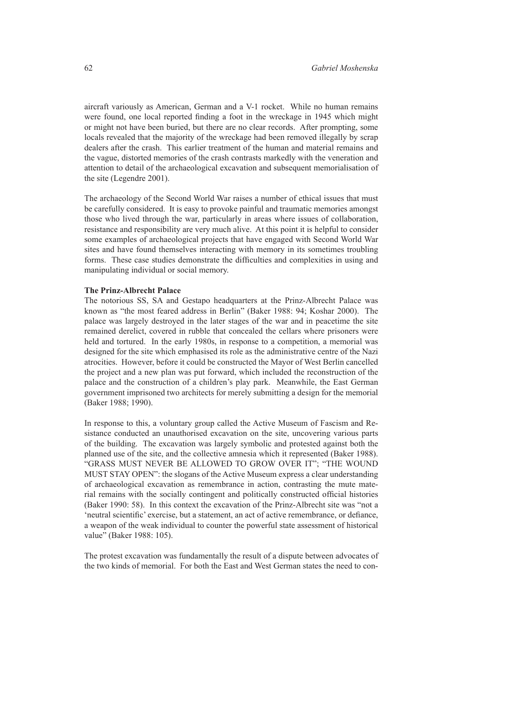aircraft variously as American, German and a V-1 rocket. While no human remains were found, one local reported finding a foot in the wreckage in 1945 which might or might not have been buried, but there are no clear records. After prompting, some locals revealed that the majority of the wreckage had been removed illegally by scrap dealers after the crash. This earlier treatment of the human and material remains and the vague, distorted memories of the crash contrasts markedly with the veneration and attention to detail of the archaeological excavation and subsequent memorialisation of the site (Legendre 2001).

The archaeology of the Second World War raises a number of ethical issues that must be carefully considered. It is easy to provoke painful and traumatic memories amongst those who lived through the war, particularly in areas where issues of collaboration, resistance and responsibility are very much alive. At this point it is helpful to consider some examples of archaeological projects that have engaged with Second World War sites and have found themselves interacting with memory in its sometimes troubling forms. These case studies demonstrate the difficulties and complexities in using and manipulating individual or social memory.

#### **The Prinz-Albrecht Palace**

The notorious SS, SA and Gestapo headquarters at the Prinz-Albrecht Palace was known as "the most feared address in Berlin" (Baker 1988: 94; Koshar 2000). The palace was largely destroyed in the later stages of the war and in peacetime the site remained derelict, covered in rubble that concealed the cellars where prisoners were held and tortured. In the early 1980s, in response to a competition, a memorial was designed for the site which emphasised its role as the administrative centre of the Nazi atrocities. However, before it could be constructed the Mayor of West Berlin cancelled the project and a new plan was put forward, which included the reconstruction of the palace and the construction of a children's play park. Meanwhile, the East German government imprisoned two architects for merely submitting a design for the memorial (Baker 1988; 1990).

In response to this, a voluntary group called the Active Museum of Fascism and Resistance conducted an unauthorised excavation on the site, uncovering various parts of the building. The excavation was largely symbolic and protested against both the planned use of the site, and the collective amnesia which it represented (Baker 1988). "GRASS MUST NEVER BE ALLOWED TO GROW OVER IT"; "THE WOUND MUST STAY OPEN": the slogans of the Active Museum express a clear understanding of archaeological excavation as remembrance in action, contrasting the mute material remains with the socially contingent and politically constructed official histories (Baker 1990: 58). In this context the excavation of the Prinz-Albrecht site was "not a 'neutral scientific' exercise, but a statement, an act of active remembrance, or defiance, a weapon of the weak individual to counter the powerful state assessment of historical value" (Baker 1988: 105).

The protest excavation was fundamentally the result of a dispute between advocates of the two kinds of memorial. For both the East and West German states the need to con-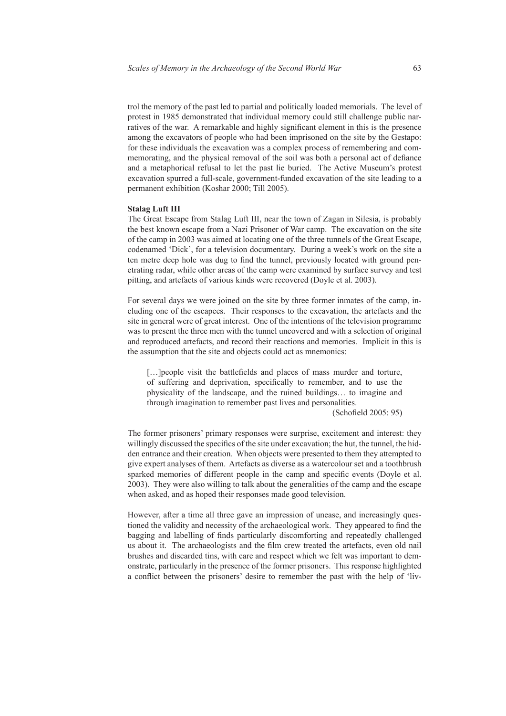trol the memory of the past led to partial and politically loaded memorials. The level of protest in 1985 demonstrated that individual memory could still challenge public narratives of the war. A remarkable and highly significant element in this is the presence among the excavators of people who had been imprisoned on the site by the Gestapo: for these individuals the excavation was a complex process of remembering and commemorating, and the physical removal of the soil was both a personal act of defiance and a metaphorical refusal to let the past lie buried. The Active Museum's protest excavation spurred a full-scale, government-funded excavation of the site leading to a permanent exhibition (Koshar 2000; Till 2005).

#### **Stalag Luft III**

The Great Escape from Stalag Luft III, near the town of Zagan in Silesia, is probably the best known escape from a Nazi Prisoner of War camp. The excavation on the site of the camp in 2003 was aimed at locating one of the three tunnels of the Great Escape, codenamed 'Dick', for a television documentary. During a week's work on the site a ten metre deep hole was dug to find the tunnel, previously located with ground penetrating radar, while other areas of the camp were examined by surface survey and test pitting, and artefacts of various kinds were recovered (Doyle et al. 2003).

For several days we were joined on the site by three former inmates of the camp, including one of the escapees. Their responses to the excavation, the artefacts and the site in general were of great interest. One of the intentions of the television programme was to present the three men with the tunnel uncovered and with a selection of original and reproduced artefacts, and record their reactions and memories. Implicit in this is the assumption that the site and objects could act as mnemonics:

[...] people visit the battlefields and places of mass murder and torture, of suffering and deprivation, specifically to remember, and to use the physicality of the landscape, and the ruined buildings… to imagine and through imagination to remember past lives and personalities.

(Schofield 2005: 95)

The former prisoners' primary responses were surprise, excitement and interest: they willingly discussed the specifics of the site under excavation; the hut, the tunnel, the hidden entrance and their creation. When objects were presented to them they attempted to give expert analyses of them. Artefacts as diverse as a watercolour set and a toothbrush sparked memories of different people in the camp and specific events (Doyle et al. 2003). They were also willing to talk about the generalities of the camp and the escape when asked, and as hoped their responses made good television.

However, after a time all three gave an impression of unease, and increasingly questioned the validity and necessity of the archaeological work. They appeared to find the bagging and labelling of finds particularly discomforting and repeatedly challenged us about it. The archaeologists and the film crew treated the artefacts, even old nail brushes and discarded tins, with care and respect which we felt was important to demonstrate, particularly in the presence of the former prisoners. This response highlighted a conflict between the prisoners' desire to remember the past with the help of 'liv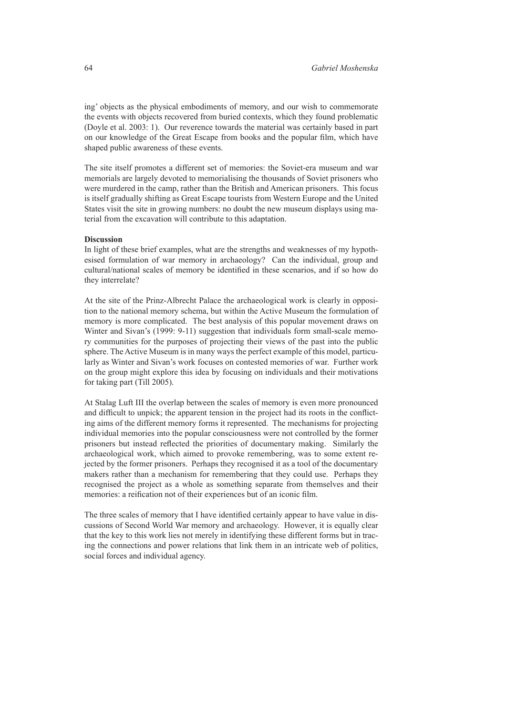ing' objects as the physical embodiments of memory, and our wish to commemorate the events with objects recovered from buried contexts, which they found problematic (Doyle et al. 2003: 1). Our reverence towards the material was certainly based in part on our knowledge of the Great Escape from books and the popular film, which have shaped public awareness of these events.

The site itself promotes a different set of memories: the Soviet-era museum and war memorials are largely devoted to memorialising the thousands of Soviet prisoners who were murdered in the camp, rather than the British and American prisoners. This focus is itself gradually shifting as Great Escape tourists from Western Europe and the United States visit the site in growing numbers: no doubt the new museum displays using material from the excavation will contribute to this adaptation.

# **Discussion**

In light of these brief examples, what are the strengths and weaknesses of my hypothesised formulation of war memory in archaeology? Can the individual, group and cultural/national scales of memory be identified in these scenarios, and if so how do they interrelate?

At the site of the Prinz-Albrecht Palace the archaeological work is clearly in opposition to the national memory schema, but within the Active Museum the formulation of memory is more complicated. The best analysis of this popular movement draws on Winter and Sivan's (1999: 9-11) suggestion that individuals form small-scale memory communities for the purposes of projecting their views of the past into the public sphere. The Active Museum is in many ways the perfect example of this model, particularly as Winter and Sivan's work focuses on contested memories of war. Further work on the group might explore this idea by focusing on individuals and their motivations for taking part (Till 2005).

At Stalag Luft III the overlap between the scales of memory is even more pronounced and difficult to unpick; the apparent tension in the project had its roots in the conflicting aims of the different memory forms it represented. The mechanisms for projecting individual memories into the popular consciousness were not controlled by the former prisoners but instead reflected the priorities of documentary making. Similarly the archaeological work, which aimed to provoke remembering, was to some extent rejected by the former prisoners. Perhaps they recognised it as a tool of the documentary makers rather than a mechanism for remembering that they could use. Perhaps they recognised the project as a whole as something separate from themselves and their memories: a reification not of their experiences but of an iconic film.

The three scales of memory that I have identified certainly appear to have value in discussions of Second World War memory and archaeology. However, it is equally clear that the key to this work lies not merely in identifying these different forms but in tracing the connections and power relations that link them in an intricate web of politics, social forces and individual agency.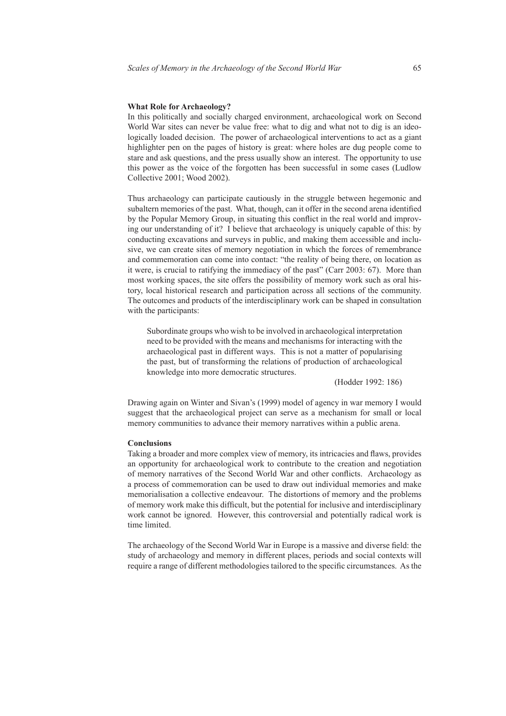# **What Role for Archaeology?**

In this politically and socially charged environment, archaeological work on Second World War sites can never be value free: what to dig and what not to dig is an ideologically loaded decision. The power of archaeological interventions to act as a giant highlighter pen on the pages of history is great: where holes are dug people come to stare and ask questions, and the press usually show an interest. The opportunity to use this power as the voice of the forgotten has been successful in some cases (Ludlow Collective 2001; Wood 2002).

Thus archaeology can participate cautiously in the struggle between hegemonic and subaltern memories of the past. What, though, can it offer in the second arena identified by the Popular Memory Group, in situating this conflict in the real world and improving our understanding of it? I believe that archaeology is uniquely capable of this: by conducting excavations and surveys in public, and making them accessible and inclusive, we can create sites of memory negotiation in which the forces of remembrance and commemoration can come into contact: "the reality of being there, on location as it were, is crucial to ratifying the immediacy of the past" (Carr 2003: 67). More than most working spaces, the site offers the possibility of memory work such as oral history, local historical research and participation across all sections of the community. The outcomes and products of the interdisciplinary work can be shaped in consultation with the participants:

Subordinate groups who wish to be involved in archaeological interpretation need to be provided with the means and mechanisms for interacting with the archaeological past in different ways. This is not a matter of popularising the past, but of transforming the relations of production of archaeological knowledge into more democratic structures.

(Hodder 1992: 186)

Drawing again on Winter and Sivan's (1999) model of agency in war memory I would suggest that the archaeological project can serve as a mechanism for small or local memory communities to advance their memory narratives within a public arena.

#### **Conclusions**

Taking a broader and more complex view of memory, its intricacies and flaws, provides an opportunity for archaeological work to contribute to the creation and negotiation of memory narratives of the Second World War and other conflicts. Archaeology as a process of commemoration can be used to draw out individual memories and make memorialisation a collective endeavour. The distortions of memory and the problems of memory work make this difficult, but the potential for inclusive and interdisciplinary work cannot be ignored. However, this controversial and potentially radical work is time limited.

The archaeology of the Second World War in Europe is a massive and diverse field: the study of archaeology and memory in different places, periods and social contexts will require a range of different methodologies tailored to the specific circumstances. As the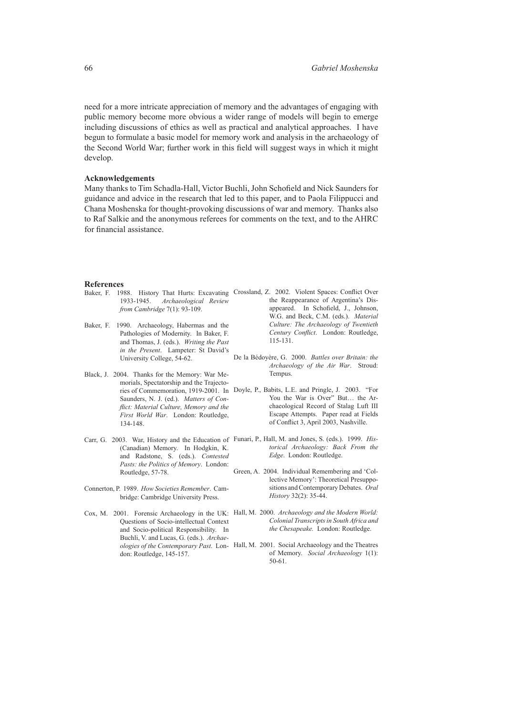need for a more intricate appreciation of memory and the advantages of engaging with public memory become more obvious a wider range of models will begin to emerge including discussions of ethics as well as practical and analytical approaches. I have begun to formulate a basic model for memory work and analysis in the archaeology of the Second World War; further work in this field will suggest ways in which it might develop.

# **Acknowledgements**

Many thanks to Tim Schadla-Hall, Victor Buchli, John Schofield and Nick Saunders for guidance and advice in the research that led to this paper, and to Paola Filippucci and Chana Moshenska for thought-provoking discussions of war and memory. Thanks also to Raf Salkie and the anonymous referees for comments on the text, and to the AHRC for financial assistance.

# **References**

| Baker, F. | 1988. History That Hurts: Excavating<br>1933-1945. Archaeological Review<br>from Cambridge $7(1)$ : 93-109.                                                      | Crossland, Z. 2002. Violent Spaces: Conflict Over<br>the Reappearance of Argentina's Dis-<br>appeared. In Schofield, J., Johnson,<br>W.G. and Beck, C.M. (eds.). Material                                                                               |
|-----------|------------------------------------------------------------------------------------------------------------------------------------------------------------------|---------------------------------------------------------------------------------------------------------------------------------------------------------------------------------------------------------------------------------------------------------|
| Baker, F. | 1990. Archaeology, Habermas and the<br>Pathologies of Modernity. In Baker, F.<br>and Thomas, J. (eds.). Writing the Past<br>in the Present. Lampeter: St David's | Culture: The Archaeology of Twentieth<br>Century Conflict. London: Routledge,<br>$115 - 131.$                                                                                                                                                           |
|           | University College, 54-62.                                                                                                                                       | De la Bédoyère, G. 2000. Battles over Britain: the<br>Archaeology of the Air War. Stroud:                                                                                                                                                               |
|           | Black, J. 2004. Thanks for the Memory: War Me-<br>morials, Spectatorship and the Trajecto-                                                                       | Tempus.                                                                                                                                                                                                                                                 |
|           | Saunders, N. J. (ed.). Matters of Con-<br>flict: Material Culture, Memory and the<br>First World War. London: Routledge,<br>134-148.                             | ries of Commemoration, 1919-2001. In Doyle, P., Babits, L.E. and Pringle, J. 2003. "For<br>You the War is Over" But the Ar-<br>chaeological Record of Stalag Luft III<br>Escape Attempts. Paper read at Fields<br>of Conflict 3, April 2003, Nashville. |
|           | (Canadian) Memory. In Hodgkin, K.<br>and Radstone, S. (eds.). Contested<br>Pasts: the Politics of Memory. London:                                                | Carr, G. 2003. War, History and the Education of Funari, P., Hall, M. and Jones, S. (eds.). 1999. His-<br>torical Archaeology: Back From the<br>Edge. London: Routledge.                                                                                |
|           | Routledge, 57-78.                                                                                                                                                | Green, A. 2004. Individual Remembering and 'Col-<br>lective Memory': Theoretical Presuppo-                                                                                                                                                              |
|           | Connerton, P. 1989. How Societies Remember. Cam-<br>bridge: Cambridge University Press.                                                                          | sitions and Contemporary Debates. Oral<br>History 32(2): 35-44.                                                                                                                                                                                         |
|           | Questions of Socio-intellectual Context<br>and Socio-political Responsibility. In<br>Buchli, V. and Lucas, G. (eds.). Archae-                                    | Cox, M. 2001. Forensic Archaeology in the UK: Hall, M. 2000. Archaeology and the Modern World:<br>Colonial Transcripts in South Africa and<br><i>the Chesapeake.</i> London: Routledge.                                                                 |
|           | don: Routledge, 145-157.                                                                                                                                         | ologies of the Contemporary Past. Lon- Hall, M. 2001. Social Archaeology and the Theatres<br>of Memory. Social Archaeology 1(1):                                                                                                                        |

50-61.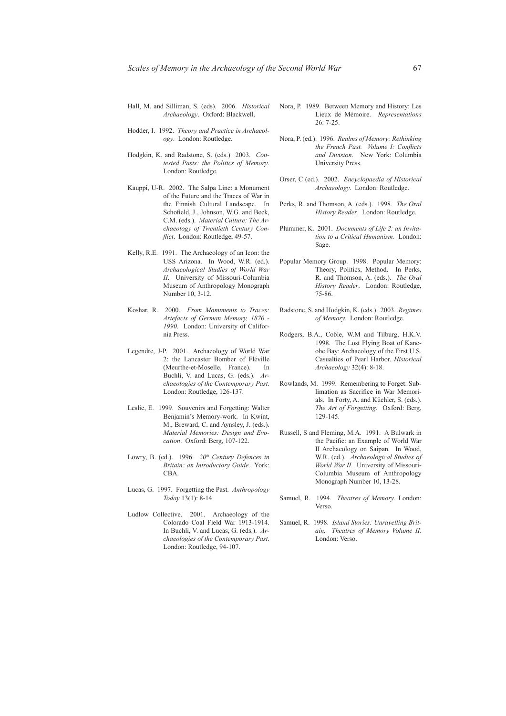- Hall, M. and Silliman, S. (eds). 2006. *Historical Archaeology*. Oxford: Blackwell.
- Hodder, I. 1992. *Theory and Practice in Archaeology*. London: Routledge.
- Hodgkin, K. and Radstone, S. (eds.) 2003. *Contested Pasts: the Politics of Memory*. London: Routledge.
- Kauppi, U-R. 2002. The Salpa Line: a Monument of the Future and the Traces of War in the Finnish Cultural Landscape. In Schofield, J., Johnson, W.G. and Beck, C.M. (eds.). *Material Culture: The Archaeology of Twentieth Century Conflict*. London: Routledge, 49-57.
- Kelly, R.E. 1991. The Archaeology of an Icon: the USS Arizona. In Wood, W.R. (ed.). *Archaeological Studies of World War II*. University of Missouri-Columbia Museum of Anthropology Monograph Number 10, 3-12.
- Koshar, R. 2000. *From Monuments to Traces: Artefacts of German Memory, 1870 - 1990*. London: University of California Press.
- Legendre, J-P. 2001. Archaeology of World War 2: the Lancaster Bomber of Fléville (Meurthe-et-Moselle, France). In Buchli, V. and Lucas, G. (eds.). *Archaeologies of the Contemporary Past*. London: Routledge, 126-137.
- Leslie, E. 1999. Souvenirs and Forgetting: Walter Benjamin's Memory-work. In Kwint, M., Breward, C. and Aynsley, J. (eds.). *Material Memories: Design and Evocation*. Oxford: Berg, 107-122.
- Lowry, B. (ed.). 1996. 20<sup>th</sup> Century Defences in *Britain: an Introductory Guide.* York: CBA.
- Lucas, G. 1997. Forgetting the Past. *Anthropology Today* 13(1): 8-14.
- Ludlow Collective. 2001. Archaeology of the Colorado Coal Field War 1913-1914. In Buchli, V. and Lucas, G. (eds.). *Archaeologies of the Contemporary Past*. London: Routledge, 94-107.
- Nora, P. 1989. Between Memory and History: Les Lieux de Mémoire. *Representations* 26: 7-25.
- Nora, P. (ed.). 1996. *Realms of Memory: Rethinking the French Past. Volume I: Conflicts and Division*. New York: Columbia University Press.
- Orser, C (ed.). 2002. *Encyclopaedia of Historical Archaeology*. London: Routledge.
- Perks, R. and Thomson, A. (eds.). 1998. *The Oral History Reader*. London: Routledge.
- Plummer, K. 2001. *Documents of Life 2: an Invitation to a Critical Humanism.* London: Sage.
- Popular Memory Group. 1998. Popular Memory: Theory, Politics, Method. In Perks, R. and Thomson, A. (eds.). *The Oral History Reader*. London: Routledge, 75-86.
- Radstone, S. and Hodgkin, K. (eds.). 2003. *Regimes of Memory*. London: Routledge.
- Rodgers, B.A., Coble, W.M and Tilburg, H.K.V. 1998. The Lost Flying Boat of Kaneohe Bay: Archaeology of the First U.S. Casualties of Pearl Harbor. *Historical Archaeology* 32(4): 8-18.
- Rowlands, M. 1999. Remembering to Forget: Sublimation as Sacrifice in War Memorials. In Forty, A. and Küchler, S. (eds.). *The Art of Forgetting*. Oxford: Berg, 129-145.
- Russell, S and Fleming, M.A. 1991. A Bulwark in the Pacific: an Example of World War II Archaeology on Saipan. In Wood, W.R. (ed.). *Archaeological Studies of World War II*. University of Missouri-Columbia Museum of Anthropology Monograph Number 10, 13-28.
- Samuel, R. 1994. *Theatres of Memory*. London: Verso.
- Samuel, R. 1998. *Island Stories: Unravelling Britain. Theatres of Memory Volume II*. London: Verso.